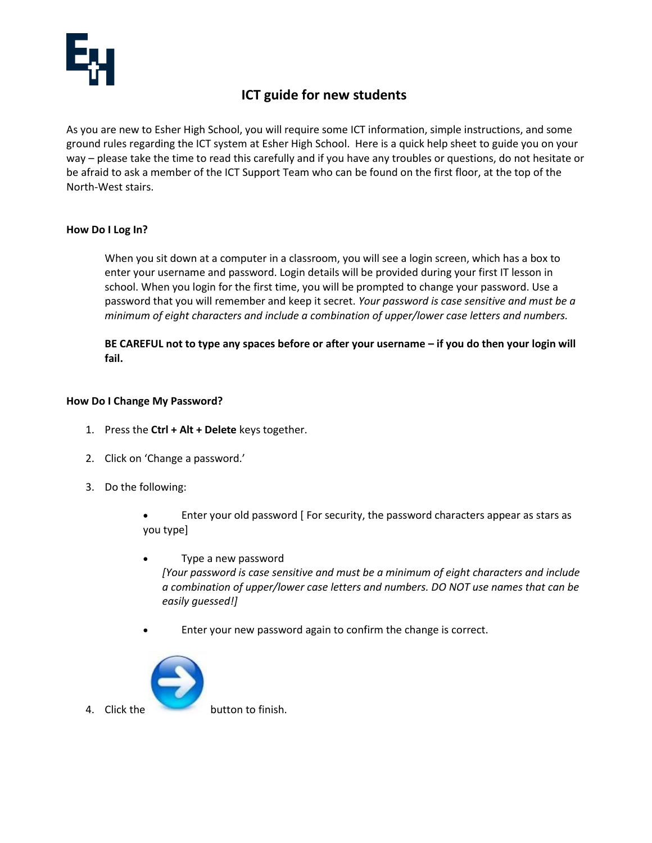

# **ICT guide for new students**

As you are new to Esher High School, you will require some ICT information, simple instructions, and some ground rules regarding the ICT system at Esher High School. Here is a quick help sheet to guide you on your way – please take the time to read this carefully and if you have any troubles or questions, do not hesitate or be afraid to ask a member of the ICT Support Team who can be found on the first floor, at the top of the North-West stairs.

# **How Do I Log In?**

When you sit down at a computer in a classroom, you will see a login screen, which has a box to enter your username and password. Login details will be provided during your first IT lesson in school. When you login for the first time, you will be prompted to change your password. Use a password that you will remember and keep it secret. *Your password is case sensitive and must be a minimum of eight characters and include a combination of upper/lower case letters and numbers.*

**BE CAREFUL not to type any spaces before or after your username – if you do then your login will fail.**

# **How Do I Change My Password?**

- 1. Press the **Ctrl + Alt + Delete** keys together.
- 2. Click on 'Change a password.'
- 3. Do the following:
	- Enter your old password [ For security, the password characters appear as stars as you type]
	- Type a new password *[Your password is case sensitive and must be a minimum of eight characters and include a combination of upper/lower case letters and numbers. DO NOT use names that can be easily guessed!]*
		- Enter your new password again to confirm the change is correct.

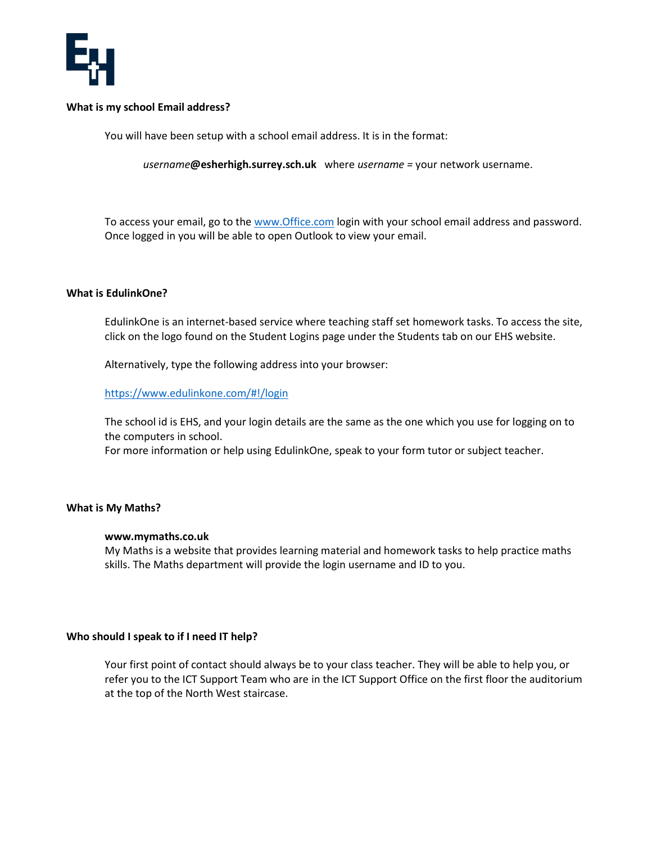

### **What is my school Email address?**

You will have been setup with a school email address. It is in the format:

*username***@esherhigh.surrey.sch.uk** where *username =* your network username.

To access your email, go to th[e www.O](http://www.office.com/)ffice.com login with your school email address and password. Once logged in you will be able to open Outlook to view your email.

## **What is EdulinkOne?**

EdulinkOne is an internet-based service where teaching staff set homework tasks. To access the site, click on the logo found on the Student Logins page under the Students tab on our EHS website.

Alternatively, type the following address into your browser:

#### <https://www.edulinkone.com/#!/login>

The school id is EHS, and your login details are the same as the one which you use for logging on to the computers in school.

For more information or help using EdulinkOne, speak to your form tutor or subject teacher.

## **What is My Maths?**

#### **www.mymaths.co.uk**

My Maths is a website that provides learning material and homework tasks to help practice maths skills. The Maths department will provide the login username and ID to you.

#### **Who should I speak to if I need IT help?**

Your first point of contact should always be to your class teacher. They will be able to help you, or refer you to the ICT Support Team who are in the ICT Support Office on the first floor the auditorium at the top of the North West staircase.